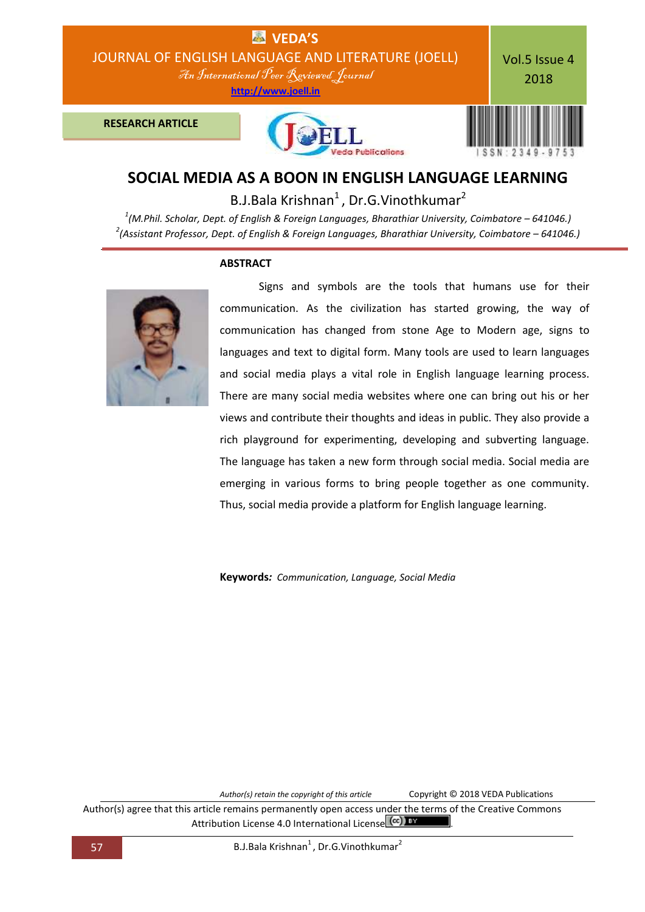

# **SOCIAL MEDIA AS A BOON IN ENGLISH LANGUAGE LEARNING**

B.J.Bala Krishnan<sup>1</sup>, Dr.G.Vinothkumar<sup>2</sup>

*1 (M.Phil. Scholar, Dept. of English & Foreign Languages, Bharathiar University, Coimbatore – 641046.) 2 (Assistant Professor, Dept. of English & Foreign Languages, Bharathiar University, Coimbatore – 641046.)*



### **ABSTRACT**

Signs and symbols are the tools that humans use for their communication. As the civilization has started growing, the way of communication has changed from stone Age to Modern age, signs to languages and text to digital form. Many tools are used to learn languages and social media plays a vital role in English language learning process. There are many social media websites where one can bring out his or her views and contribute their thoughts and ideas in public. They also provide a rich playground for experimenting, developing and subverting language. The language has taken a new form through social media. Social media are emerging in various forms to bring people together as one community. Thus, social media provide a platform for English language learning.

**Keywords***: Communication, Language, Social Media*

*Author(s) retain the copyright of this article* Copyright © 2018 VEDA Publications

Author(s) agree that this article remains permanently open access under the terms of the Creative Commons Attribution License 4.0 International License (cc) BY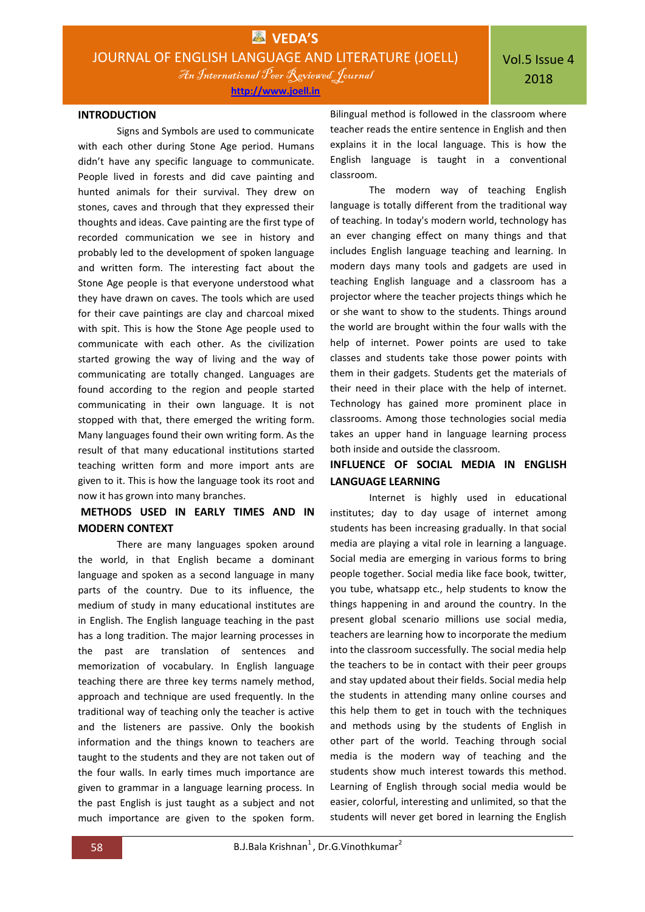An International Peer Reviewed Journal

**[http://www.joell.in](http://www.joell.in/)**

### **INTRODUCTION**

Signs and Symbols are used to communicate with each other during Stone Age period. Humans didn't have any specific language to communicate. People lived in forests and did cave painting and hunted animals for their survival. They drew on stones, caves and through that they expressed their thoughts and ideas. Cave painting are the first type of recorded communication we see in history and probably led to the development of spoken language and written form. The interesting fact about the Stone Age people is that everyone understood what they have drawn on caves. The tools which are used for their cave paintings are clay and charcoal mixed with spit. This is how the Stone Age people used to communicate with each other. As the civilization started growing the way of living and the way of communicating are totally changed. Languages are found according to the region and people started communicating in their own language. It is not stopped with that, there emerged the writing form. Many languages found their own writing form. As the result of that many educational institutions started teaching written form and more import ants are given to it. This is how the language took its root and now it has grown into many branches.

# **METHODS USED IN EARLY TIMES AND IN MODERN CONTEXT**

There are many languages spoken around the world, in that English became a dominant language and spoken as a second language in many parts of the country. Due to its influence, the medium of study in many educational institutes are in English. The English language teaching in the past has a long tradition. The major learning processes in the past are translation of sentences and memorization of vocabulary. In English language teaching there are three key terms namely method, approach and technique are used frequently. In the traditional way of teaching only the teacher is active and the listeners are passive. Only the bookish information and the things known to teachers are taught to the students and they are not taken out of the four walls. In early times much importance are given to grammar in a language learning process. In the past English is just taught as a subject and not much importance are given to the spoken form.

Bilingual method is followed in the classroom where teacher reads the entire sentence in English and then explains it in the local language. This is how the English language is taught in a conventional classroom.

The modern way of teaching English language is totally different from the traditional way of teaching. In today's modern world, technology has an ever changing effect on many things and that includes English language teaching and learning. In modern days many tools and gadgets are used in teaching English language and a classroom has a projector where the teacher projects things which he or she want to show to the students. Things around the world are brought within the four walls with the help of internet. Power points are used to take classes and students take those power points with them in their gadgets. Students get the materials of their need in their place with the help of internet. Technology has gained more prominent place in classrooms. Among those technologies social media takes an upper hand in language learning process both inside and outside the classroom.

## **INFLUENCE OF SOCIAL MEDIA IN ENGLISH LANGUAGE LEARNING**

Internet is highly used in educational institutes; day to day usage of internet among students has been increasing gradually. In that social media are playing a vital role in learning a language. Social media are emerging in various forms to bring people together. Social media like face book, twitter, you tube, whatsapp etc., help students to know the things happening in and around the country. In the present global scenario millions use social media, teachers are learning how to incorporate the medium into the classroom successfully. The social media help the teachers to be in contact with their peer groups and stay updated about their fields. Social media help the students in attending many online courses and this help them to get in touch with the techniques and methods using by the students of English in other part of the world. Teaching through social media is the modern way of teaching and the students show much interest towards this method. Learning of English through social media would be easier, colorful, interesting and unlimited, so that the students will never get bored in learning the English